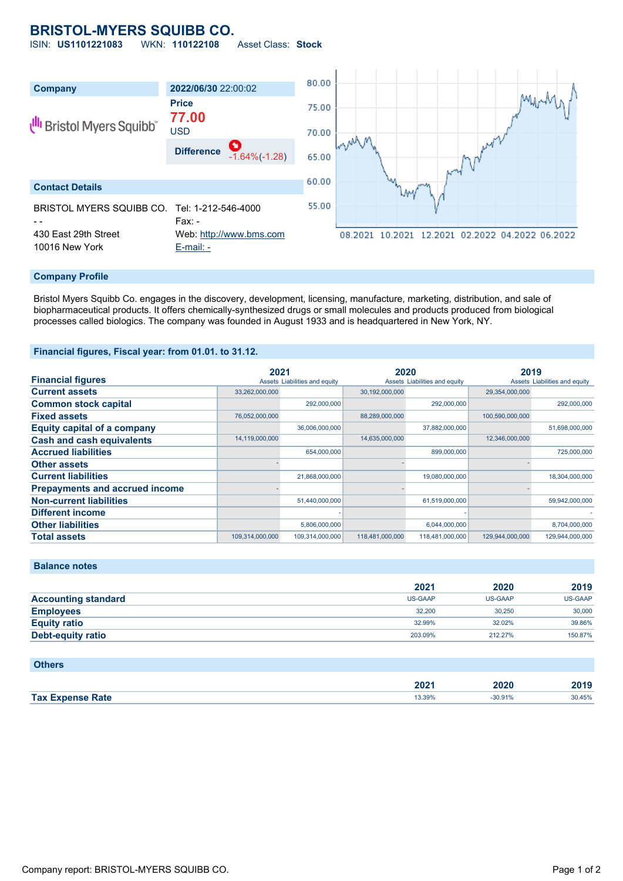# **BRISTOL-MYERS SQUIBB CO.**

ISIN: **US1101221083** WKN: **110122108** Asset Class: **Stock**



## **Company Profile**

Bristol Myers Squibb Co. engages in the discovery, development, licensing, manufacture, marketing, distribution, and sale of biopharmaceutical products. It offers chemically-synthesized drugs or small molecules and products produced from biological processes called biologics. The company was founded in August 1933 and is headquartered in New York, NY.

#### **Financial figures, Fiscal year: from 01.01. to 31.12.**

|                                       | 2021            |                               | 2020            |                               | 2019            |                               |
|---------------------------------------|-----------------|-------------------------------|-----------------|-------------------------------|-----------------|-------------------------------|
| <b>Financial figures</b>              |                 | Assets Liabilities and equity |                 | Assets Liabilities and equity |                 | Assets Liabilities and equity |
| <b>Current assets</b>                 | 33,262,000,000  |                               | 30,192,000,000  |                               | 29,354,000,000  |                               |
| <b>Common stock capital</b>           |                 | 292,000,000                   |                 | 292,000,000                   |                 | 292,000,000                   |
| <b>Fixed assets</b>                   | 76,052,000,000  |                               | 88,289,000,000  |                               | 100,590,000,000 |                               |
| <b>Equity capital of a company</b>    |                 | 36,006,000,000                |                 | 37,882,000,000                |                 | 51,698,000,000                |
| <b>Cash and cash equivalents</b>      | 14,119,000,000  |                               | 14,635,000,000  |                               | 12,346,000,000  |                               |
| <b>Accrued liabilities</b>            |                 | 654,000,000                   |                 | 899,000,000                   |                 | 725,000,000                   |
| <b>Other assets</b>                   |                 |                               |                 |                               |                 |                               |
| <b>Current liabilities</b>            |                 | 21,868,000,000                |                 | 19,080,000,000                |                 | 18,304,000,000                |
| <b>Prepayments and accrued income</b> |                 |                               |                 |                               |                 |                               |
| <b>Non-current liabilities</b>        |                 | 51,440,000,000                |                 | 61,519,000,000                |                 | 59,942,000,000                |
| <b>Different income</b>               |                 |                               |                 |                               |                 |                               |
| <b>Other liabilities</b>              |                 | 5,806,000,000                 |                 | 6,044,000,000                 |                 | 8,704,000,000                 |
| <b>Total assets</b>                   | 109.314.000.000 | 109.314.000.000               | 118,481,000,000 | 118,481,000,000               | 129.944.000.000 | 129.944.000.000               |

|                            | 2021    | 2020    | 2019           |
|----------------------------|---------|---------|----------------|
| <b>Accounting standard</b> | US-GAAP | US-GAAP | <b>US-GAAP</b> |
| <b>Employees</b>           | 32,200  | 30.250  | 30,000         |
| <b>Equity ratio</b>        | 32.99%  | 32.02%  | 39.86%         |
| Debt-equity ratio          | 203.09% | 212.27% | 150.87%        |
|                            |         |         |                |

## **Others**

**Balance notes**

|                         | 2022<br>ZUZ 1 | 2020   | 3040<br>40 I C |
|-------------------------|---------------|--------|----------------|
| <b>Tax Expense Rate</b> | 13.39%        | 30.91% | 30.45%         |